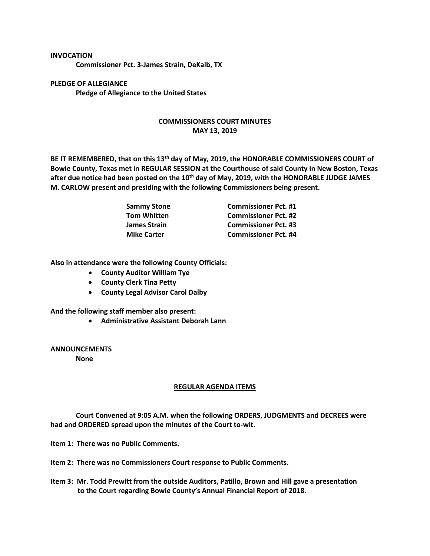## **INVOCATION**

**Commissioner Pct. 3-James Strain, DeKalb, TX**

**PLEDGE OF ALLEGIANCE Pledge of Allegiance to the United States**

## **COMMISSIONERS COURT MINUTES MAY 13, 2019**

**BE IT REMEMBERED, that on this 13th day of May, 2019, the HONORABLE COMMISSIONERS COURT of Bowie County, Texas met in REGULAR SESSION at the Courthouse of said County in New Boston, Texas after due notice had been posted on the 10th day of May, 2019, with the HONORABLE JUDGE JAMES M. CARLOW present and presiding with the following Commissioners being present.**

| <b>Sammy Stone</b>  | <b>Commissioner Pct. #1</b> |
|---------------------|-----------------------------|
| <b>Tom Whitten</b>  | <b>Commissioner Pct. #2</b> |
| <b>James Strain</b> | <b>Commissioner Pct. #3</b> |
| <b>Mike Carter</b>  | <b>Commissioner Pct. #4</b> |

**Also in attendance were the following County Officials:**

- **County Auditor William Tye**
- **County Clerk Tina Petty**
- **County Legal Advisor Carol Dalby**

**And the following staff member also present:**

• **Administrative Assistant Deborah Lann**

**ANNOUNCEMENTS None**

## **REGULAR AGENDA ITEMS**

**Court Convened at 9:05 A.M. when the following ORDERS, JUDGMENTS and DECREES were had and ORDERED spread upon the minutes of the Court to-wit.**

**Item 1: There was no Public Comments.**

**Item 2: There was no Commissioners Court response to Public Comments.**

**Item 3: Mr. Todd Prewitt from the outside Auditors, Patillo, Brown and Hill gave a presentation to the Court regarding Bowie County's Annual Financial Report of 2018.**